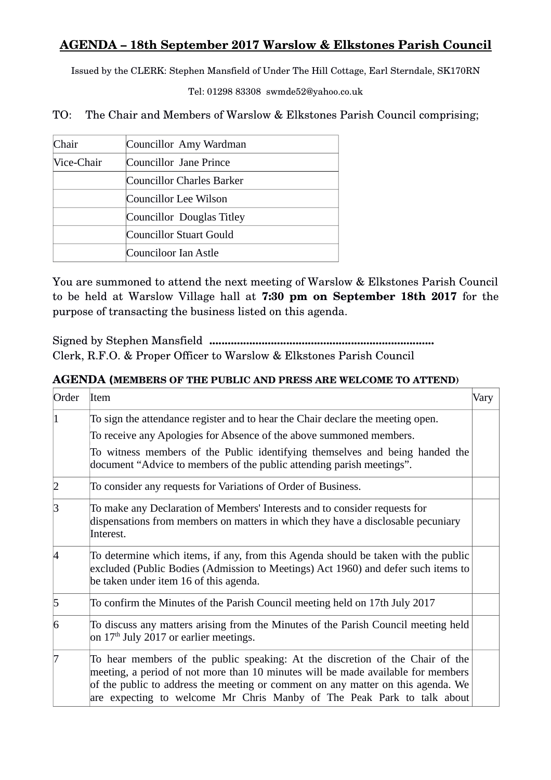## **AGENDA – 18th September 2017 Warslow & Elkstones Parish Council**

Issued by the CLERK: Stephen Mansfield of Under The Hill Cottage, Earl Sterndale, SK170RN

Tel: 01298 83308 swmde52@yahoo.co.uk

TO: The Chair and Members of Warslow & Elkstones Parish Council comprising;

| Chair      | Councillor Amy Wardman    |
|------------|---------------------------|
| Vice-Chair | Councillor Jane Prince    |
|            | Councillor Charles Barker |
|            | Councillor Lee Wilson     |
|            | Councillor Douglas Titley |
|            | Councillor Stuart Gould   |
|            | Counciloor Ian Astle      |

You are summoned to attend the next meeting of Warslow & Elkstones Parish Council to be held at Warslow Village hall at **7:30 pm on September 18th 2017** for the purpose of transacting the business listed on this agenda.

Signed by Stephen Mansfield **.........................................................................** Clerk, R.F.O. & Proper Officer to Warslow & Elkstones Parish Council

## **AGENDA (MEMBERS OF THE PUBLIC AND PRESS ARE WELCOME TO ATTEND)**

| Order    | <b>Item</b>                                                                                                                                                                                                                                                                                                                     | Vary |
|----------|---------------------------------------------------------------------------------------------------------------------------------------------------------------------------------------------------------------------------------------------------------------------------------------------------------------------------------|------|
|          | To sign the attendance register and to hear the Chair declare the meeting open.                                                                                                                                                                                                                                                 |      |
|          | To receive any Apologies for Absence of the above summoned members.                                                                                                                                                                                                                                                             |      |
|          | To witness members of the Public identifying themselves and being handed the<br>document "Advice to members of the public attending parish meetings".                                                                                                                                                                           |      |
|          | To consider any requests for Variations of Order of Business.                                                                                                                                                                                                                                                                   |      |
| 3        | To make any Declaration of Members' Interests and to consider requests for<br>dispensations from members on matters in which they have a disclosable pecuniary<br>Interest.                                                                                                                                                     |      |
| $\Delta$ | To determine which items, if any, from this Agenda should be taken with the public<br>excluded (Public Bodies (Admission to Meetings) Act 1960) and defer such items to<br>be taken under item 16 of this agenda.                                                                                                               |      |
| 5        | To confirm the Minutes of the Parish Council meeting held on 17th July 2017                                                                                                                                                                                                                                                     |      |
| 6        | To discuss any matters arising from the Minutes of the Parish Council meeting held<br>on $17th$ July 2017 or earlier meetings.                                                                                                                                                                                                  |      |
|          | To hear members of the public speaking: At the discretion of the Chair of the<br>meeting, a period of not more than 10 minutes will be made available for members<br>of the public to address the meeting or comment on any matter on this agenda. We<br>are expecting to welcome Mr Chris Manby of The Peak Park to talk about |      |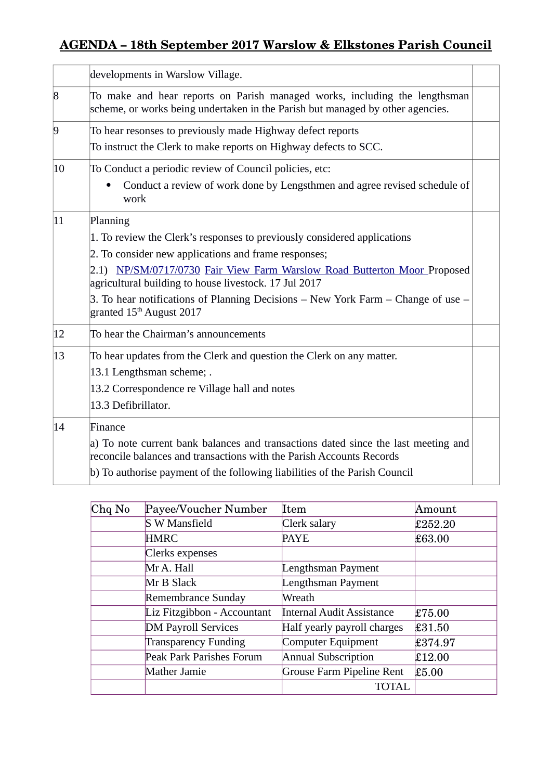## **AGENDA – 18th September 2017 Warslow & Elkstones Parish Council**

| developments in Warslow Village.                                                                                                                             |  |  |
|--------------------------------------------------------------------------------------------------------------------------------------------------------------|--|--|
| To make and hear reports on Parish managed works, including the lengthsman<br>scheme, or works being undertaken in the Parish but managed by other agencies. |  |  |
| To hear resonses to previously made Highway defect reports                                                                                                   |  |  |
| To instruct the Clerk to make reports on Highway defects to SCC.                                                                                             |  |  |
| To Conduct a periodic review of Council policies, etc:                                                                                                       |  |  |
| Conduct a review of work done by Lengsthmen and agree revised schedule of<br>work                                                                            |  |  |
| Planning                                                                                                                                                     |  |  |
| 1. To review the Clerk's responses to previously considered applications                                                                                     |  |  |
| 2. To consider new applications and frame responses;                                                                                                         |  |  |
| 2.1) NP/SM/0717/0730 Fair View Farm Warslow Road Butterton Moor Proposed<br>agricultural building to house livestock. 17 Jul 2017                            |  |  |
| 3. To hear notifications of Planning Decisions $-$ New York Farm $-$ Change of use $-$<br>granted 15 <sup>th</sup> August 2017                               |  |  |
| To hear the Chairman's announcements                                                                                                                         |  |  |
| To hear updates from the Clerk and question the Clerk on any matter.                                                                                         |  |  |
| 13.1 Lengthsman scheme; .                                                                                                                                    |  |  |
| 13.2 Correspondence re Village hall and notes                                                                                                                |  |  |
| 13.3 Defibrillator.                                                                                                                                          |  |  |
| Finance                                                                                                                                                      |  |  |
| a) To note current bank balances and transactions dated since the last meeting and<br>reconcile balances and transactions with the Parish Accounts Records   |  |  |
| b) To authorise payment of the following liabilities of the Parish Council                                                                                   |  |  |
|                                                                                                                                                              |  |  |

| $Chq$ No | Payee/Voucher Number        | Item                             | Amount  |
|----------|-----------------------------|----------------------------------|---------|
|          | <b>S W Mansfield</b>        | Clerk salary                     | £252.20 |
|          | <b>HMRC</b>                 | <b>PAYE</b>                      | £63.00  |
|          | Clerks expenses             |                                  |         |
|          | Mr A. Hall                  | Lengthsman Payment               |         |
|          | Mr B Slack                  | Lengthsman Payment               |         |
|          | Remembrance Sunday          | Wreath                           |         |
|          | Liz Fitzgibbon - Accountant | <b>Internal Audit Assistance</b> | £75.00  |
|          | <b>DM Payroll Services</b>  | Half yearly payroll charges      | £31.50  |
|          | <b>Transparency Funding</b> | Computer Equipment               | £374.97 |
|          | Peak Park Parishes Forum    | <b>Annual Subscription</b>       | £12.00  |
|          | Mather Jamie                | Grouse Farm Pipeline Rent        | £5.00   |
|          |                             | TOTAL                            |         |